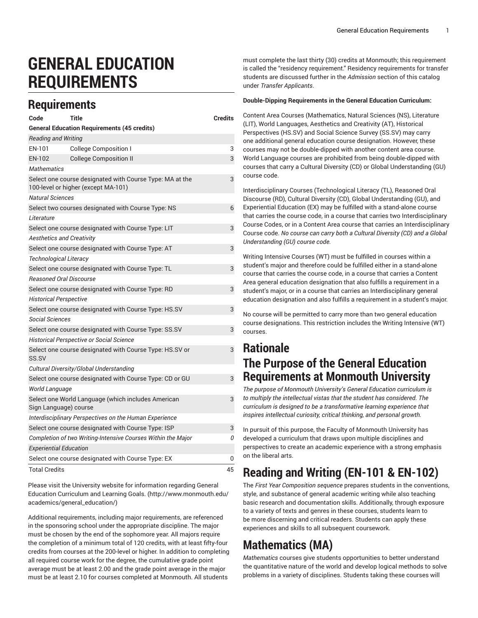# **GENERAL EDUCATION REQUIREMENTS**

#### **Requirements**

| Code                                                                                            | Title                                                        | <b>Credits</b> |
|-------------------------------------------------------------------------------------------------|--------------------------------------------------------------|----------------|
|                                                                                                 | <b>General Education Requirements (45 credits)</b>           |                |
| <b>Reading and Writing</b>                                                                      |                                                              |                |
| EN-101                                                                                          | <b>College Composition I</b>                                 | 3              |
| EN-102                                                                                          | <b>College Composition II</b>                                | 3              |
| <b>Mathematics</b>                                                                              |                                                              |                |
| Select one course designated with Course Type: MA at the<br>100-level or higher (except MA-101) |                                                              | 3              |
| <b>Natural Sciences</b>                                                                         |                                                              |                |
|                                                                                                 | Select two courses designated with Course Type: NS           | 6              |
| Literature                                                                                      |                                                              |                |
|                                                                                                 | Select one course designated with Course Type: LIT           | 3              |
| <b>Aesthetics and Creativity</b>                                                                |                                                              |                |
| Select one course designated with Course Type: AT                                               |                                                              | 3              |
| Technological Literacy                                                                          |                                                              |                |
| Select one course designated with Course Type: TL                                               |                                                              | 3              |
| <b>Reasoned Oral Discourse</b>                                                                  |                                                              |                |
| Select one course designated with Course Type: RD                                               |                                                              | 3              |
| <b>Historical Perspective</b>                                                                   |                                                              |                |
| Select one course designated with Course Type: HS.SV                                            |                                                              | 3              |
| <i>Social Sciences</i>                                                                          |                                                              |                |
| Select one course designated with Course Type: SS.SV                                            |                                                              | 3              |
| <b>Historical Perspective or Social Science</b>                                                 |                                                              |                |
| SS.SV                                                                                           | Select one course designated with Course Type: HS.SV or      | 3              |
|                                                                                                 | Cultural Diversity/Global Understanding                      |                |
|                                                                                                 | Select one course designated with Course Type: CD or GU      | 3              |
| World Language                                                                                  |                                                              |                |
| Select one World Language (which includes American<br>Sign Language) course                     |                                                              | 3              |
| Interdisciplinary Perspectives on the Human Experience                                          |                                                              |                |
|                                                                                                 | Select one course designated with Course Type: ISP           | 3              |
|                                                                                                 | Completion of two Writing-Intensive Courses Within the Major | 0              |
| <b>Experiential Education</b>                                                                   |                                                              |                |
|                                                                                                 | Select one course designated with Course Type: EX            | 0              |
| <b>Total Credits</b>                                                                            |                                                              | 45             |

Please visit the University website for [information](http://www.monmouth.edu/academics/general_education/) regarding General Education [Curriculum](http://www.monmouth.edu/academics/general_education/) and Learning Goals. ([http://www.monmouth.edu/](http://www.monmouth.edu/academics/general_education/) [academics/general\\_education/\)](http://www.monmouth.edu/academics/general_education/)

Additional requirements, including major requirements, are referenced in the sponsoring school under the appropriate discipline. The major must be chosen by the end of the sophomore year. All majors require the completion of a minimum total of 120 credits, with at least fifty-four credits from courses at the 200-level or higher. In addition to completing all required course work for the degree, the cumulative grade point average must be at least 2.00 and the grade point average in the major must be at least 2.10 for courses completed at Monmouth. All students

must complete the last thirty (30) credits at Monmouth; this requirement is called the "residency requirement." Residency requirements for transfer students are discussed further in the *Admission* section of this catalog under *Transfer Applicants*.

#### **Double-Dipping Requirements in the General Education Curriculum:**

Content Area Courses (Mathematics, Natural Sciences (NS), Literature (LIT), World Languages, Aesthetics and Creativity (AT), Historical Perspectives (HS.SV) and Social Science Survey (SS.SV) may carry one additional general education course designation. However, these courses may not be double-dipped with another content area course. World Language courses are prohibited from being double-dipped with courses that carry a Cultural Diversity (CD) or Global Understanding (GU) course code.

Interdisciplinary Courses (Technological Literacy (TL), Reasoned Oral Discourse (RD), Cultural Diversity (CD), Global Understanding (GU), and Experiential Education (EX) may be fulfilled with a stand-alone course that carries the course code, in a course that carries two Interdisciplinary Course Codes, or in a Content Area course that carries an Interdisciplinary Course code. *No course can carry both a Cultural Diversity (CD) and a Global Understanding (GU) course code.*

Writing Intensive Courses (WT) must be fulfilled in courses within a student's major and therefore could be fulfilled either in a stand-alone course that carries the course code, in a course that carries a Content Area general education designation that also fulfills a requirement in a student's major, or in a course that carries an Interdisciplinary general education designation and also fulfills a requirement in a student's major.

No course will be permitted to carry more than two general education course designations. This restriction includes the Writing Intensive (WT) courses.

#### **Rationale The Purpose of the General Education Requirements at Monmouth University**

*The purpose of Monmouth University's General Education curriculum is to multiply the intellectual vistas that the student has considered. The curriculum is designed to be a transformative learning experience that inspires intellectual curiosity, critical thinking, and personal growth.*

In pursuit of this purpose, the Faculty of Monmouth University has developed a curriculum that draws upon multiple disciplines and perspectives to create an academic experience with a strong emphasis on the liberal arts.

#### **Reading and Writing (EN-101 & EN-102)**

The *First Year Composition sequence* prepares students in the conventions, style, and substance of general academic writing while also teaching basic research and documentation skills. Additionally, through exposure to a variety of texts and genres in these courses, students learn to be more discerning and critical readers. Students can apply these experiences and skills to all subsequent coursework.

#### **Mathematics (MA)**

*Mathematics* courses give students opportunities to better understand the quantitative nature of the world and develop logical methods to solve problems in a variety of disciplines. Students taking these courses will